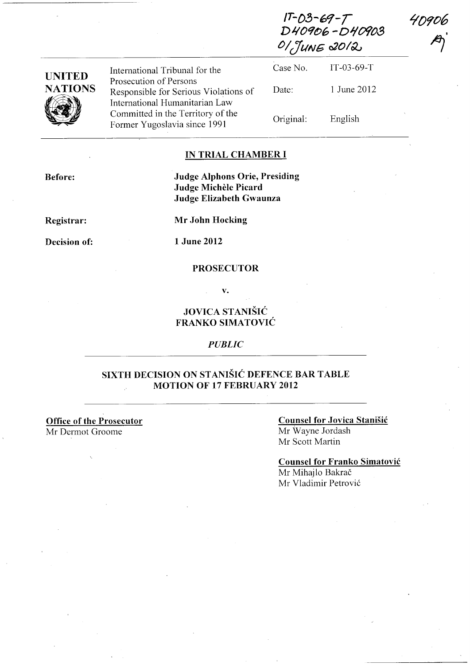$1 - 0$   $-69 - 7$ D40906-D40903 **0/ (fliNG** *020/00* 

| <b>UNITED</b>  | International Tribunal for the                                                                    | Case No.  | $IT-03-69-T$ |
|----------------|---------------------------------------------------------------------------------------------------|-----------|--------------|
| <b>NATIONS</b> | Prosecution of Persons<br>Responsible for Serious Violations of<br>International Humanitarian Law | Date:     | 1 June 2012  |
|                | Committed in the Territory of the<br>Former Yugoslavia since 1991                                 | Original: | English      |

#### **IN TRIAL CHAMBER I**

**Before:** 

#### **Judge Alphons Orie, Presiding Judge Michele Picard Judge Elizabeth Gwaunza**

**Registrar:** 

**Decision of:** 

**1 June 2012** 

#### **PROSECUTOR**

**Mr John Hocking** 

**v.** 

# **JOVICA STANISIC FRANKO SIMATOVIC**

#### *PUBLIC*

## **SIXTH DECISION ON STANIŠIĆ DEFENCE BAR TABLE MOTION OF 17 FEBRUARY 2012**

**Office of the Prosecutor**  Mr Dermot Groome

#### **Counsel for Jovica Stanisic**  Mr Wayne Jordash

Mr Scott Martin

## **Counsel for Franko Simatovic**

Mr Mihajlo Bakrač Mr Vladimir Petrovi6 4D906

**11)'**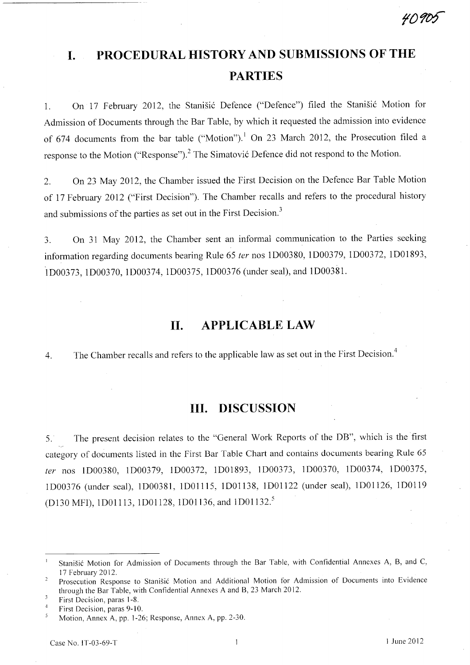# **I. PROCEDURAL HISTORY AND SUBMISSIONS OF THE PARTIES**

1. On 17 February 2012, the Stanišić Defence ("Defence") filed the Stanišić Motion for Admission of Documents through the Bar Table, by which it requested the admission into evidence of 674 documents from the bar table ("Motion").<sup>1</sup> On 23 March 2012, the Prosecution filed a response to the Motion ("Response").<sup>2</sup> The Simatović Defence did not respond to the Motion.

2. On 23 May 2012, the Chamber issued the First Decision on the Defence Bar Table Motion of 17 February 2012 ("First Decision"). The Chamber recalls and refers to the procedural history and submissions of the parties as set out in the First Decision.<sup>3</sup>

3. On 31 May 2012, the Chamber sent an informal communication to the Parties seeking information regarding documents bearing Rule 65 *ter* nos lD00380, ID00379, ID00372, ID01893, ID00373, ID00370, lD00374, ID00375, ID00376 (under seal), and ID00381.

# **11. APPLICABLE LAW**

4. The Chamber recalls and refers to the applicable law as set out in the First Decision.<sup>4</sup>

# **Ill. DISCUSSION**

5. The present decision relates to the "General Work Reports of the DB", which is the first category of documents listed in the First Bar Table Chart and contains documents bearing Rule 65 *ter* nos lD00380, ID00379, lD00372, ID01893, ID00373, ID00370, lD00374, lD00375, ID00376 (under seal), ID00381, IDOl 115, lD01138, lDOll22 (under seal), IDOl126, IDOl19 (D130 MFI), 1D01113, 1D01128, 1D01136, and 1D01132.<sup>5</sup>

 $\,$   $\,$   $\,$ Stanisic Motion for Admission of Documents through the Bar Table, with Confidential Annexes A, B, and C, 17 February 2012.

Prosecution Response to Stanisic Motion and Additional Motion for Admission of Documents into Evidence through the Bar Table, with Confidential Annexes A and B, 23 March 2012.

<sup>3</sup> First Decision, paras 1-8.

 $\overline{4}$ First Decision, paras 9-10.

Motion, Annex A, pp. 1-26; Response, Annex A, pp. 2-30.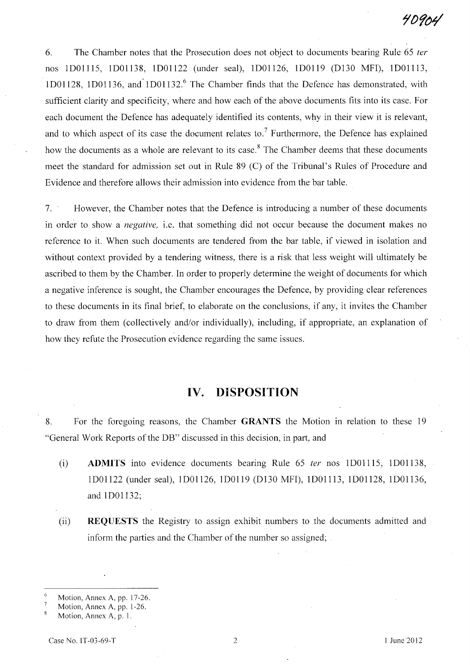6. The Chamber notes that the Prosecution does not object to documents bearing Rule 65 *ter*  nos IDOII15, IDOI138, IDOI122 (under seal), ID01126, lDOI19 (D130 MFI), IDOll13, ID01128, lDOl136, and·IDOlI32. 6 The Chamber finds that the Defence has demonstrated, with sufficient clarity and specificity, where and how each of the above documents fits into its case. For each document the Defence has adequately identified its contents, why in their view it is relevant, and to which aspect of its case the document relates to.<sup>7</sup> Furthermore, the Defence has explained how the documents as a whole are relevant to its case.<sup>8</sup> The Chamber deems that these documents meet the standard for admission set out in Rule 89 (C) of the Tribunal's Rules of Procedure and Evidence and therefore allows their admission into evidence from the bar table.

7. However, the Chamber notes that the Defence is introducing a number of these documents in order to show a *negative,* i.e. that something did not occur because the document makes no reference to it. When such documents are tendered from the bar table, if viewed in isolation and without context provided by a tendering witness, there is a risk that less weight will ultimately be ascribed to them by the Chamber. In order to properly determine the weight of documents for which a negative inference is sought, the Chamber encourages the Defence, by providing clear references to these documents in its final brief, to elaborate on the conclusions, if any, it invites the Chamber to draw from them (collectively and/or individually), including, if appropriate, an explanation of how they refute the Prosecution evidence regarding the same issues.

# **IV. DISPOSITION**

8. For the foregoing reasons, the Chamber **GRANTS** the Motion in relation to these 19 "General Work Reports of the DB" discussed in this decision, in part, and

- (i) **ADMITS** into evidence documents bearing Rule 65 *ter* nos IDOllI5, lD01138, lDOI122 (under seal), 1 D01126, ID0119 (D130 MFI), IDOI113, ID01128, IDOI136, and ID01132;
- (ii) **REQUESTS** the Registry to assign exhibit numbers to the documents admitted and inform the parties and the Chamber of the number so assigned;

<sup>6</sup> Motion, Annex A, pp. 17-26.

 $\overline{7}$ Motion, Annex A, pp. 1-26.

 $\overline{\mathbf{x}}$ Motion, Annex A, p. I.